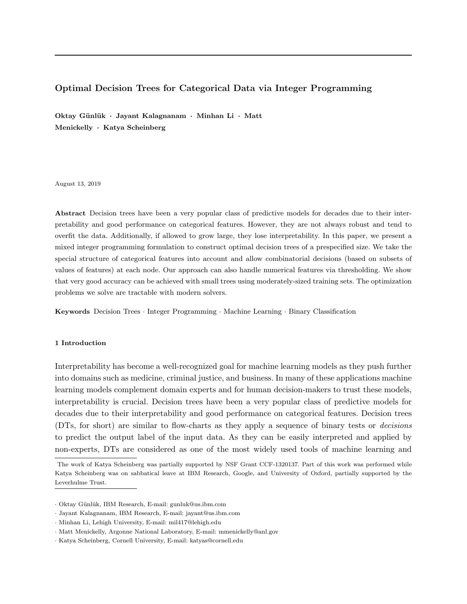# Optimal Decision Trees for Categorical Data via Integer Programming

Oktay Günlük · Jayant Kalagnanam · Minhan Li · Matt Menickelly · Katya Scheinberg

August 13, 2019

Abstract Decision trees have been a very popular class of predictive models for decades due to their interpretability and good performance on categorical features. However, they are not always robust and tend to overfit the data. Additionally, if allowed to grow large, they lose interpretability. In this paper, we present a mixed integer programming formulation to construct optimal decision trees of a prespecified size. We take the special structure of categorical features into account and allow combinatorial decisions (based on subsets of values of features) at each node. Our approach can also handle numerical features via thresholding. We show that very good accuracy can be achieved with small trees using moderately-sized training sets. The optimization problems we solve are tractable with modern solvers.

Keywords Decision Trees · Integer Programming · Machine Learning · Binary Classification

# 1 Introduction

Interpretability has become a well-recognized goal for machine learning models as they push further into domains such as medicine, criminal justice, and business. In many of these applications machine learning models complement domain experts and for human decision-makers to trust these models, interpretability is crucial. Decision trees have been a very popular class of predictive models for decades due to their interpretability and good performance on categorical features. Decision trees (DTs, for short) are similar to flow-charts as they apply a sequence of binary tests or decisions to predict the output label of the input data. As they can be easily interpreted and applied by non-experts, DTs are considered as one of the most widely used tools of machine learning and

The work of Katya Scheinberg was partially supported by NSF Grant CCF-1320137. Part of this work was performed while Katya Scheinberg was on sabbatical leave at IBM Research, Google, and University of Oxford, partially supported by the Leverhulme Trust.

<sup>·</sup> Oktay G¨unl¨uk, IBM Research, E-mail: gunluk@us.ibm.com

<sup>·</sup> Jayant Kalagnanam, IBM Research, E-mail: jayant@us.ibm.com

<sup>·</sup> Minhan Li, Lehigh University, E-mail: mil417@lehigh.edu

<sup>·</sup> Matt Menickelly, Argonne National Laboratory, E-mail: mmenickelly@anl.gov

<sup>·</sup> Katya Scheinberg, Cornell University, E-mail: katyas@cornell.edu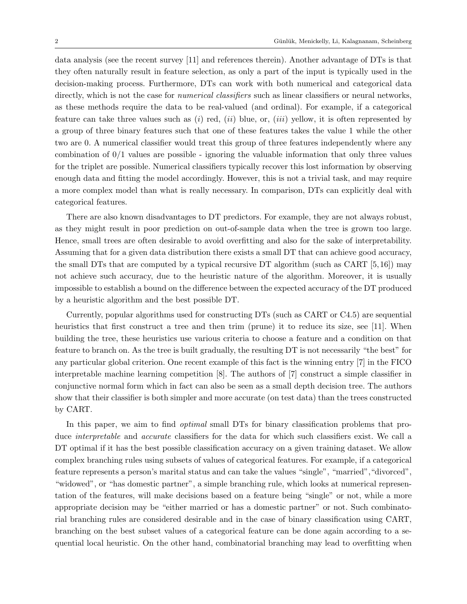data analysis (see the recent survey [11] and references therein). Another advantage of DTs is that they often naturally result in feature selection, as only a part of the input is typically used in the decision-making process. Furthermore, DTs can work with both numerical and categorical data directly, which is not the case for *numerical classifiers* such as linear classifiers or neural networks, as these methods require the data to be real-valued (and ordinal). For example, if a categorical feature can take three values such as  $(i)$  red,  $(ii)$  blue, or,  $(iii)$  yellow, it is often represented by a group of three binary features such that one of these features takes the value 1 while the other two are 0. A numerical classifier would treat this group of three features independently where any combination of  $0/1$  values are possible - ignoring the valuable information that only three values for the triplet are possible. Numerical classifiers typically recover this lost information by observing enough data and fitting the model accordingly. However, this is not a trivial task, and may require a more complex model than what is really necessary. In comparison, DTs can explicitly deal with categorical features.

There are also known disadvantages to DT predictors. For example, they are not always robust, as they might result in poor prediction on out-of-sample data when the tree is grown too large. Hence, small trees are often desirable to avoid overfitting and also for the sake of interpretability. Assuming that for a given data distribution there exists a small DT that can achieve good accuracy, the small DTs that are computed by a typical recursive DT algorithm (such as CART  $[5,16]$ ) may not achieve such accuracy, due to the heuristic nature of the algorithm. Moreover, it is usually impossible to establish a bound on the difference between the expected accuracy of the DT produced by a heuristic algorithm and the best possible DT.

Currently, popular algorithms used for constructing DTs (such as CART or C4.5) are sequential heuristics that first construct a tree and then trim (prune) it to reduce its size, see [11]. When building the tree, these heuristics use various criteria to choose a feature and a condition on that feature to branch on. As the tree is built gradually, the resulting DT is not necessarily "the best" for any particular global criterion. One recent example of this fact is the winning entry [7] in the FICO interpretable machine learning competition [8]. The authors of [7] construct a simple classifier in conjunctive normal form which in fact can also be seen as a small depth decision tree. The authors show that their classifier is both simpler and more accurate (on test data) than the trees constructed by CART.

In this paper, we aim to find *optimal* small DTs for binary classification problems that produce interpretable and accurate classifiers for the data for which such classifiers exist. We call a DT optimal if it has the best possible classification accuracy on a given training dataset. We allow complex branching rules using subsets of values of categorical features. For example, if a categorical feature represents a person's marital status and can take the values "single", "married","divorced", "widowed", or "has domestic partner", a simple branching rule, which looks at numerical representation of the features, will make decisions based on a feature being "single" or not, while a more appropriate decision may be "either married or has a domestic partner" or not. Such combinatorial branching rules are considered desirable and in the case of binary classification using CART, branching on the best subset values of a categorical feature can be done again according to a sequential local heuristic. On the other hand, combinatorial branching may lead to overfitting when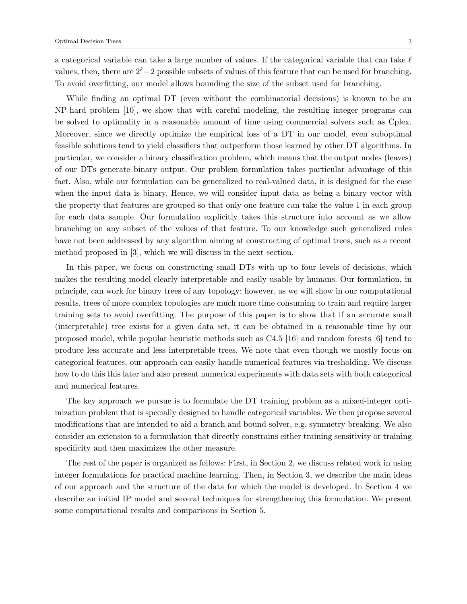a categorical variable can take a large number of values. If the categorical variable that can take  $\ell$ values, then, there are  $2^{\ell}-2$  possible subsets of values of this feature that can be used for branching. To avoid overfitting, our model allows bounding the size of the subset used for branching.

While finding an optimal DT (even without the combinatorial decisions) is known to be an NP-hard problem [10], we show that with careful modeling, the resulting integer programs can be solved to optimality in a reasonable amount of time using commercial solvers such as Cplex. Moreover, since we directly optimize the empirical loss of a DT in our model, even suboptimal feasible solutions tend to yield classifiers that outperform those learned by other DT algorithms. In particular, we consider a binary classification problem, which means that the output nodes (leaves) of our DTs generate binary output. Our problem formulation takes particular advantage of this fact. Also, while our formulation can be generalized to real-valued data, it is designed for the case when the input data is binary. Hence, we will consider input data as being a binary vector with the property that features are grouped so that only one feature can take the value 1 in each group for each data sample. Our formulation explicitly takes this structure into account as we allow branching on any subset of the values of that feature. To our knowledge such generalized rules have not been addressed by any algorithm aiming at constructing of optimal trees, such as a recent method proposed in [3], which we will discuss in the next section.

In this paper, we focus on constructing small DTs with up to four levels of decisions, which makes the resulting model clearly interpretable and easily usable by humans. Our formulation, in principle, can work for binary trees of any topology; however, as we will show in our computational results, trees of more complex topologies are much more time consuming to train and require larger training sets to avoid overfitting. The purpose of this paper is to show that if an accurate small (interpretable) tree exists for a given data set, it can be obtained in a reasonable time by our proposed model, while popular heuristic methods such as C4.5 [16] and random forests [6] tend to produce less accurate and less interpretable trees. We note that even though we mostly focus on categorical features, our approach can easily handle numerical features via tresholding. We discuss how to do this this later and also present numerical experiments with data sets with both categorical and numerical features.

The key approach we pursue is to formulate the DT training problem as a mixed-integer optimization problem that is specially designed to handle categorical variables. We then propose several modifications that are intended to aid a branch and bound solver, e.g. symmetry breaking. We also consider an extension to a formulation that directly constrains either training sensitivity or training specificity and then maximizes the other measure.

The rest of the paper is organized as follows: First, in Section 2, we discuss related work in using integer formulations for practical machine learning. Then, in Section 3, we describe the main ideas of our approach and the structure of the data for which the model is developed. In Section 4 we describe an initial IP model and several techniques for strengthening this formulation. We present some computational results and comparisons in Section 5.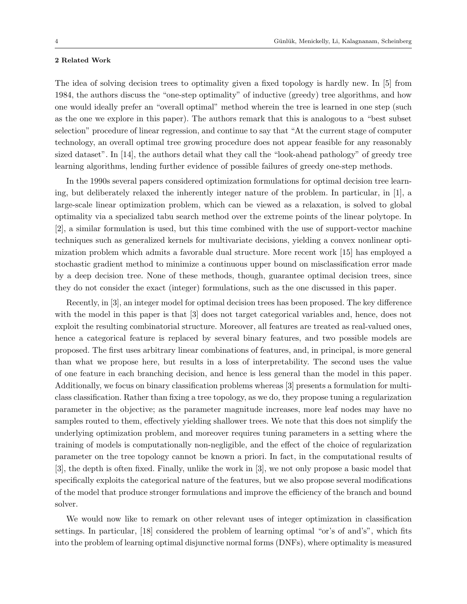### 2 Related Work

The idea of solving decision trees to optimality given a fixed topology is hardly new. In [5] from 1984, the authors discuss the "one-step optimality" of inductive (greedy) tree algorithms, and how one would ideally prefer an "overall optimal" method wherein the tree is learned in one step (such as the one we explore in this paper). The authors remark that this is analogous to a "best subset selection" procedure of linear regression, and continue to say that "At the current stage of computer technology, an overall optimal tree growing procedure does not appear feasible for any reasonably sized dataset". In [14], the authors detail what they call the "look-ahead pathology" of greedy tree learning algorithms, lending further evidence of possible failures of greedy one-step methods.

In the 1990s several papers considered optimization formulations for optimal decision tree learning, but deliberately relaxed the inherently integer nature of the problem. In particular, in [1], a large-scale linear optimization problem, which can be viewed as a relaxation, is solved to global optimality via a specialized tabu search method over the extreme points of the linear polytope. In [2], a similar formulation is used, but this time combined with the use of support-vector machine techniques such as generalized kernels for multivariate decisions, yielding a convex nonlinear optimization problem which admits a favorable dual structure. More recent work [15] has employed a stochastic gradient method to minimize a continuous upper bound on misclassification error made by a deep decision tree. None of these methods, though, guarantee optimal decision trees, since they do not consider the exact (integer) formulations, such as the one discussed in this paper.

Recently, in [3], an integer model for optimal decision trees has been proposed. The key difference with the model in this paper is that [3] does not target categorical variables and, hence, does not exploit the resulting combinatorial structure. Moreover, all features are treated as real-valued ones, hence a categorical feature is replaced by several binary features, and two possible models are proposed. The first uses arbitrary linear combinations of features, and, in principal, is more general than what we propose here, but results in a loss of interpretability. The second uses the value of one feature in each branching decision, and hence is less general than the model in this paper. Additionally, we focus on binary classification problems whereas [3] presents a formulation for multiclass classification. Rather than fixing a tree topology, as we do, they propose tuning a regularization parameter in the objective; as the parameter magnitude increases, more leaf nodes may have no samples routed to them, effectively yielding shallower trees. We note that this does not simplify the underlying optimization problem, and moreover requires tuning parameters in a setting where the training of models is computationally non-negligible, and the effect of the choice of regularization parameter on the tree topology cannot be known a priori. In fact, in the computational results of [3], the depth is often fixed. Finally, unlike the work in [3], we not only propose a basic model that specifically exploits the categorical nature of the features, but we also propose several modifications of the model that produce stronger formulations and improve the efficiency of the branch and bound solver.

We would now like to remark on other relevant uses of integer optimization in classification settings. In particular, [18] considered the problem of learning optimal "or's of and's", which fits into the problem of learning optimal disjunctive normal forms (DNFs), where optimality is measured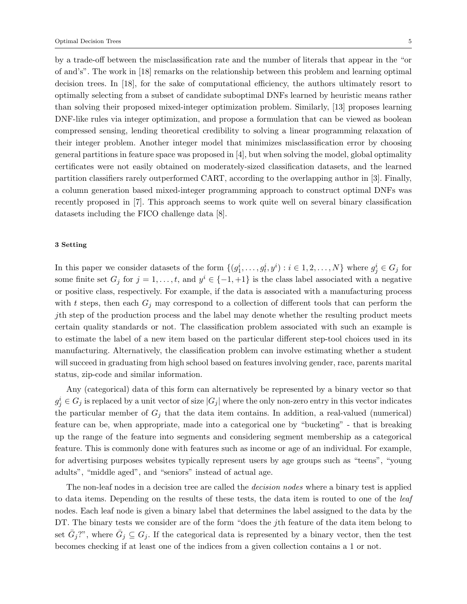by a trade-off between the misclassification rate and the number of literals that appear in the "or of and's". The work in [18] remarks on the relationship between this problem and learning optimal decision trees. In [18], for the sake of computational efficiency, the authors ultimately resort to optimally selecting from a subset of candidate suboptimal DNFs learned by heuristic means rather than solving their proposed mixed-integer optimization problem. Similarly, [13] proposes learning DNF-like rules via integer optimization, and propose a formulation that can be viewed as boolean compressed sensing, lending theoretical credibility to solving a linear programming relaxation of their integer problem. Another integer model that minimizes misclassification error by choosing general partitions in feature space was proposed in [4], but when solving the model, global optimality certificates were not easily obtained on moderately-sized classification datasets, and the learned partition classifiers rarely outperformed CART, according to the overlapping author in [3]. Finally, a column generation based mixed-integer programming approach to construct optimal DNFs was recently proposed in [7]. This approach seems to work quite well on several binary classification datasets including the FICO challenge data [8].

### 3 Setting

In this paper we consider datasets of the form  $\{(g_1^i, \ldots, g_t^i, y^i) : i \in 1, 2, \ldots, N\}$  where  $g_j^i \in G_j$  for some finite set  $G_j$  for  $j = 1, \ldots, t$ , and  $y^i \in \{-1, +1\}$  is the class label associated with a negative or positive class, respectively. For example, if the data is associated with a manufacturing process with t steps, then each  $G_i$  may correspond to a collection of different tools that can perform the jth step of the production process and the label may denote whether the resulting product meets certain quality standards or not. The classification problem associated with such an example is to estimate the label of a new item based on the particular different step-tool choices used in its manufacturing. Alternatively, the classification problem can involve estimating whether a student will succeed in graduating from high school based on features involving gender, race, parents marital status, zip-code and similar information.

Any (categorical) data of this form can alternatively be represented by a binary vector so that  $g_j^i \in G_j$  is replaced by a unit vector of size  $|G_j|$  where the only non-zero entry in this vector indicates the particular member of  $G_j$  that the data item contains. In addition, a real-valued (numerical) feature can be, when appropriate, made into a categorical one by "bucketing" - that is breaking up the range of the feature into segments and considering segment membership as a categorical feature. This is commonly done with features such as income or age of an individual. For example, for advertising purposes websites typically represent users by age groups such as "teens", "young adults", "middle aged", and "seniors" instead of actual age.

The non-leaf nodes in a decision tree are called the *decision nodes* where a binary test is applied to data items. Depending on the results of these tests, the data item is routed to one of the *leaf* nodes. Each leaf node is given a binary label that determines the label assigned to the data by the DT. The binary tests we consider are of the form "does the j<sup>th</sup> feature of the data item belong to set  $\bar{G}_j$ ?", where  $\bar{G}_j \subseteq G_j$ . If the categorical data is represented by a binary vector, then the test becomes checking if at least one of the indices from a given collection contains a 1 or not.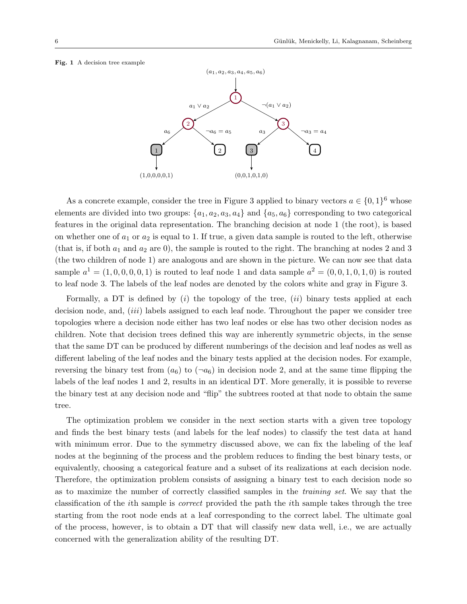### Fig. 1 A decision tree example



As a concrete example, consider the tree in Figure 3 applied to binary vectors  $a \in \{0,1\}^6$  whose elements are divided into two groups:  $\{a_1, a_2, a_3, a_4\}$  and  $\{a_5, a_6\}$  corresponding to two categorical features in the original data representation. The branching decision at node 1 (the root), is based on whether one of  $a_1$  or  $a_2$  is equal to 1. If true, a given data sample is routed to the left, otherwise (that is, if both  $a_1$  and  $a_2$  are 0), the sample is routed to the right. The branching at nodes 2 and 3 (the two children of node 1) are analogous and are shown in the picture. We can now see that data sample  $a^1 = (1, 0, 0, 0, 0, 1)$  is routed to leaf node 1 and data sample  $a^2 = (0, 0, 1, 0, 1, 0)$  is routed to leaf node 3. The labels of the leaf nodes are denoted by the colors white and gray in Figure 3.

Formally, a DT is defined by  $(i)$  the topology of the tree,  $(ii)$  binary tests applied at each decision node, and, *(iii)* labels assigned to each leaf node. Throughout the paper we consider tree topologies where a decision node either has two leaf nodes or else has two other decision nodes as children. Note that decision trees defined this way are inherently symmetric objects, in the sense that the same DT can be produced by different numberings of the decision and leaf nodes as well as different labeling of the leaf nodes and the binary tests applied at the decision nodes. For example, reversing the binary test from  $(a_6)$  to  $(\neg a_6)$  in decision node 2, and at the same time flipping the labels of the leaf nodes 1 and 2, results in an identical DT. More generally, it is possible to reverse the binary test at any decision node and "flip" the subtrees rooted at that node to obtain the same tree.

The optimization problem we consider in the next section starts with a given tree topology and finds the best binary tests (and labels for the leaf nodes) to classify the test data at hand with minimum error. Due to the symmetry discussed above, we can fix the labeling of the leaf nodes at the beginning of the process and the problem reduces to finding the best binary tests, or equivalently, choosing a categorical feature and a subset of its realizations at each decision node. Therefore, the optimization problem consists of assigning a binary test to each decision node so as to maximize the number of correctly classified samples in the training set. We say that the classification of the ith sample is correct provided the path the ith sample takes through the tree starting from the root node ends at a leaf corresponding to the correct label. The ultimate goal of the process, however, is to obtain a DT that will classify new data well, i.e., we are actually concerned with the generalization ability of the resulting DT.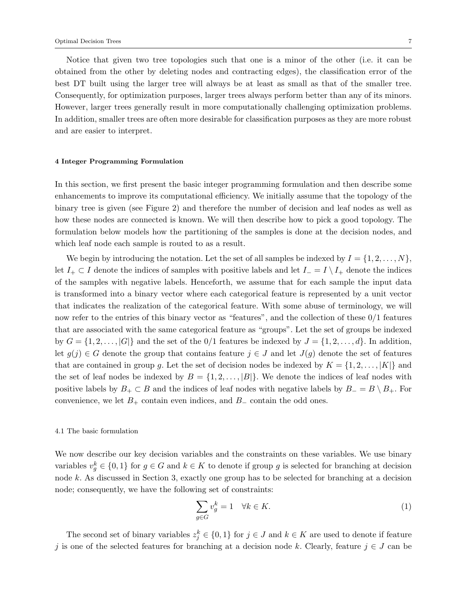Notice that given two tree topologies such that one is a minor of the other (i.e. it can be obtained from the other by deleting nodes and contracting edges), the classification error of the best DT built using the larger tree will always be at least as small as that of the smaller tree. Consequently, for optimization purposes, larger trees always perform better than any of its minors. However, larger trees generally result in more computationally challenging optimization problems. In addition, smaller trees are often more desirable for classification purposes as they are more robust and are easier to interpret.

### 4 Integer Programming Formulation

In this section, we first present the basic integer programming formulation and then describe some enhancements to improve its computational efficiency. We initially assume that the topology of the binary tree is given (see Figure 2) and therefore the number of decision and leaf nodes as well as how these nodes are connected is known. We will then describe how to pick a good topology. The formulation below models how the partitioning of the samples is done at the decision nodes, and which leaf node each sample is routed to as a result.

We begin by introducing the notation. Let the set of all samples be indexed by  $I = \{1, 2, \ldots, N\}$ , let  $I_+ \subset I$  denote the indices of samples with positive labels and let  $I_- = I \setminus I_+$  denote the indices of the samples with negative labels. Henceforth, we assume that for each sample the input data is transformed into a binary vector where each categorical feature is represented by a unit vector that indicates the realization of the categorical feature. With some abuse of terminology, we will now refer to the entries of this binary vector as "features", and the collection of these 0/1 features that are associated with the same categorical feature as "groups". Let the set of groups be indexed by  $G = \{1, 2, \ldots, |G|\}$  and the set of the 0/1 features be indexed by  $J = \{1, 2, \ldots, d\}$ . In addition, let  $g(j) \in G$  denote the group that contains feature  $j \in J$  and let  $J(g)$  denote the set of features that are contained in group g. Let the set of decision nodes be indexed by  $K = \{1, 2, \ldots, |K|\}$  and the set of leaf nodes be indexed by  $B = \{1, 2, ..., |B|\}$ . We denote the indices of leaf nodes with positive labels by  $B_+ \subset B$  and the indices of leaf nodes with negative labels by  $B_-= B \setminus B_+$ . For convenience, we let  $B_+$  contain even indices, and  $B_-\$  contain the odd ones.

# 4.1 The basic formulation

We now describe our key decision variables and the constraints on these variables. We use binary variables  $v_g^k \in \{0,1\}$  for  $g \in G$  and  $k \in K$  to denote if group g is selected for branching at decision node k. As discussed in Section 3, exactly one group has to be selected for branching at a decision node; consequently, we have the following set of constraints:

$$
\sum_{g \in G} v_g^k = 1 \quad \forall k \in K. \tag{1}
$$

The second set of binary variables  $z_j^k \in \{0,1\}$  for  $j \in J$  and  $k \in K$  are used to denote if feature j is one of the selected features for branching at a decision node k. Clearly, feature  $j \in J$  can be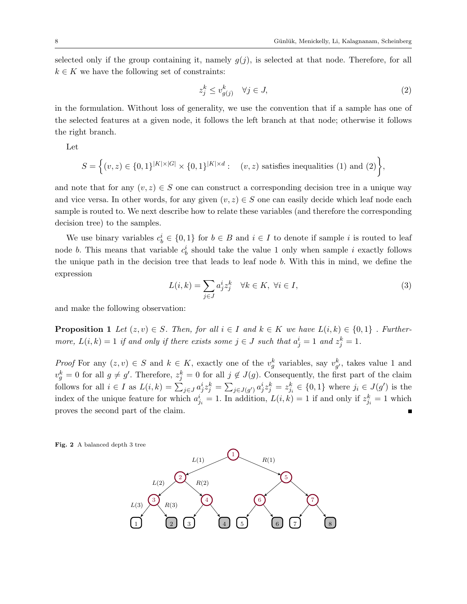selected only if the group containing it, namely  $g(j)$ , is selected at that node. Therefore, for all  $k \in K$  we have the following set of constraints:

$$
z_j^k \le v_{g(j)}^k \quad \forall j \in J,\tag{2}
$$

in the formulation. Without loss of generality, we use the convention that if a sample has one of the selected features at a given node, it follows the left branch at that node; otherwise it follows the right branch.

Let

$$
S = \Big\{ (v, z) \in \{0, 1\}^{|K| \times |G|} \times \{0, 1\}^{|K| \times d} : \quad (v, z) \text{ satisfies inequalities (1) and (2)} \Big\},
$$

and note that for any  $(v, z) \in S$  one can construct a corresponding decision tree in a unique way and vice versa. In other words, for any given  $(v, z) \in S$  one can easily decide which leaf node each sample is routed to. We next describe how to relate these variables (and therefore the corresponding decision tree) to the samples.

We use binary variables  $c_b^i \in \{0,1\}$  for  $b \in B$  and  $i \in I$  to denote if sample i is routed to leaf node b. This means that variable  $c_b^i$  should take the value 1 only when sample i exactly follows the unique path in the decision tree that leads to leaf node b. With this in mind, we define the expression

$$
L(i,k) = \sum_{j \in J} a_j^i z_j^k \quad \forall k \in K, \ \forall i \in I,
$$
\n
$$
(3)
$$

and make the following observation:

**Proposition 1** Let  $(z, v) \in S$ . Then, for all  $i \in I$  and  $k \in K$  we have  $L(i, k) \in \{0, 1\}$ . Furthermore,  $L(i,k) = 1$  if and only if there exists some  $j \in J$  such that  $a_j^i = 1$  and  $z_j^k = 1$ .

*Proof* For any  $(z, v) \in S$  and  $k \in K$ , exactly one of the  $v_g^k$  variables, say  $v_{g'}^k$ , takes value 1 and  $v_g^k = 0$  for all  $g \neq g'$ . Therefore,  $z_j^k = 0$  for all  $j \notin J(g)$ . Consequently, the first part of the claim follows for all  $i \in I$  as  $L(i,k) = \sum_{j \in J} a_j^i z_j^k = \sum_{j \in J(g')} a_j^i z_j^k = z_{j_i}^k \in \{0,1\}$  where  $j_i \in J(g')$  is the index of the unique feature for which  $a_{j_i}^i = 1$ . In addition,  $L(i,k) = 1$  if and only if  $z_{j_i}^k = 1$  which proves the second part of the claim.

Fig. 2 A balanced depth 3 tree

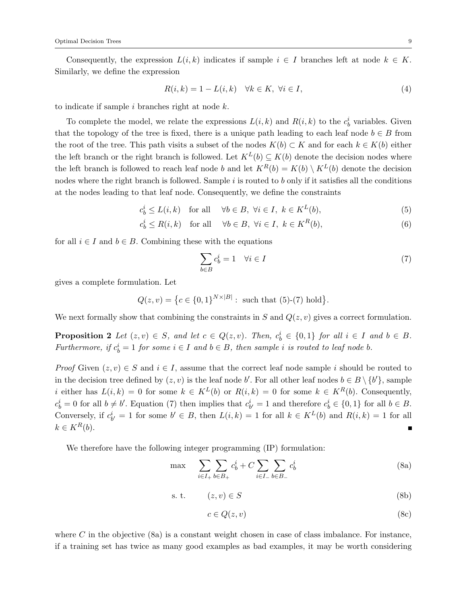Consequently, the expression  $L(i, k)$  indicates if sample  $i \in I$  branches left at node  $k \in K$ . Similarly, we define the expression

$$
R(i,k) = 1 - L(i,k) \quad \forall k \in K, \ \forall i \in I,
$$
\n
$$
(4)
$$

to indicate if sample  $i$  branches right at node  $k$ .

To complete the model, we relate the expressions  $L(i,k)$  and  $R(i,k)$  to the  $c_b^i$  variables. Given that the topology of the tree is fixed, there is a unique path leading to each leaf node  $b \in B$  from the root of the tree. This path visits a subset of the nodes  $K(b) \subset K$  and for each  $k \in K(b)$  either the left branch or the right branch is followed. Let  $K^L(b) \subseteq K(b)$  denote the decision nodes where the left branch is followed to reach leaf node b and let  $K^R(b) = K(b) \setminus K^L(b)$  denote the decision nodes where the right branch is followed. Sample  $i$  is routed to  $b$  only if it satisfies all the conditions at the nodes leading to that leaf node. Consequently, we define the constraints

$$
c_b^i \le L(i,k) \quad \text{for all} \quad \forall b \in B, \ \forall i \in I, \ k \in K^L(b), \tag{5}
$$

$$
c_b^i \le R(i,k) \quad \text{for all} \quad \forall b \in B, \ \forall i \in I, \ k \in K^R(b), \tag{6}
$$

for all  $i \in I$  and  $b \in B$ . Combining these with the equations

$$
\sum_{b \in B} c_b^i = 1 \quad \forall i \in I \tag{7}
$$

gives a complete formulation. Let

$$
Q(z, v) = \{c \in \{0, 1\}^{N \times |B|} : \text{ such that } (5) \text{-}(7) \text{ hold}\}.
$$

We next formally show that combining the constraints in S and  $Q(z, v)$  gives a correct formulation.

**Proposition 2** Let  $(z, v) \in S$ , and let  $c \in Q(z, v)$ . Then,  $c_b^i \in \{0, 1\}$  for all  $i \in I$  and  $b \in B$ . Furthermore, if  $c_b^i = 1$  for some  $i \in I$  and  $b \in B$ , then sample i is routed to leaf node b.

*Proof* Given  $(z, v) \in S$  and  $i \in I$ , assume that the correct leaf node sample i should be routed to in the decision tree defined by  $(z, v)$  is the leaf node b'. For all other leaf nodes  $b \in B \setminus \{b'\}$ , sample i either has  $L(i,k) = 0$  for some  $k \in K^L(b)$  or  $R(i,k) = 0$  for some  $k \in K^R(b)$ . Consequently,  $c_b^i = 0$  for all  $b \neq b'$ . Equation (7) then implies that  $c_{b'}^i = 1$  and therefore  $c_b^i \in \{0,1\}$  for all  $b \in B$ . Conversely, if  $c_{b'}^i = 1$  for some  $b' \in B$ , then  $L(i,k) = 1$  for all  $k \in K^L(b)$  and  $R(i,k) = 1$  for all  $k \in K^R(b)$ .

We therefore have the following integer programming (IP) formulation:

$$
\max \sum_{i \in I_+} \sum_{b \in B_+} c_b^i + C \sum_{i \in I_-} \sum_{b \in B_-} c_b^i \tag{8a}
$$

$$
s. t. \t(z, v) \in S \t(8b)
$$

$$
c \in Q(z, v) \tag{8c}
$$

where C in the objective  $(8a)$  is a constant weight chosen in case of class imbalance. For instance, if a training set has twice as many good examples as bad examples, it may be worth considering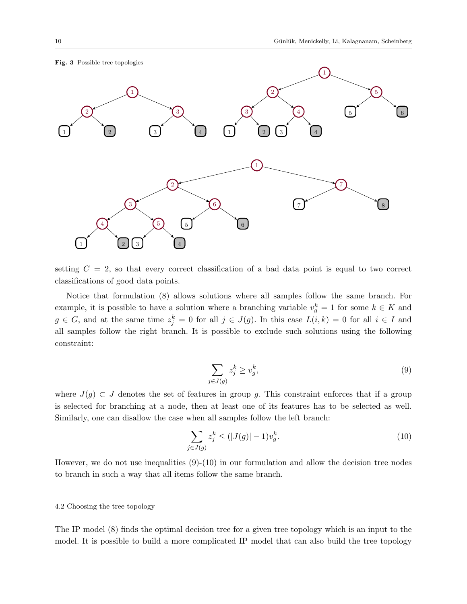### Fig. 3 Possible tree topologies



setting  $C = 2$ , so that every correct classification of a bad data point is equal to two correct classifications of good data points.

Notice that formulation (8) allows solutions where all samples follow the same branch. For example, it is possible to have a solution where a branching variable  $v_g^k = 1$  for some  $k \in K$  and  $g \in G$ , and at the same time  $z_j^k = 0$  for all  $j \in J(g)$ . In this case  $L(i,k) = 0$  for all  $i \in I$  and all samples follow the right branch. It is possible to exclude such solutions using the following constraint:

$$
\sum_{j \in J(g)} z_j^k \ge v_g^k,\tag{9}
$$

where  $J(g) \subset J$  denotes the set of features in group g. This constraint enforces that if a group is selected for branching at a node, then at least one of its features has to be selected as well. Similarly, one can disallow the case when all samples follow the left branch:

$$
\sum_{j \in J(g)} z_j^k \le (|J(g)| - 1)v_g^k. \tag{10}
$$

However, we do not use inequalities (9)-(10) in our formulation and allow the decision tree nodes to branch in such a way that all items follow the same branch.

# 4.2 Choosing the tree topology

The IP model (8) finds the optimal decision tree for a given tree topology which is an input to the model. It is possible to build a more complicated IP model that can also build the tree topology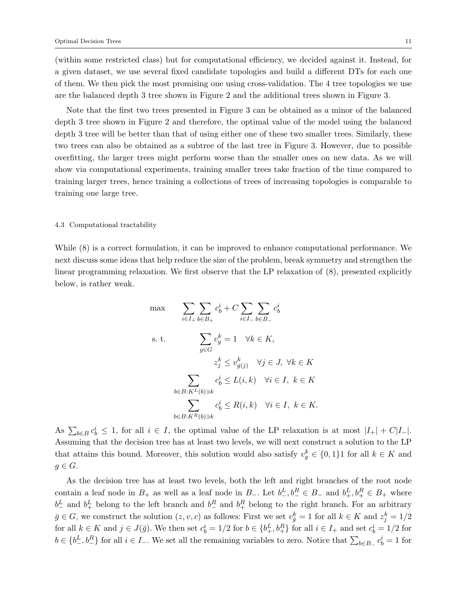(within some restricted class) but for computational efficiency, we decided against it. Instead, for a given dataset, we use several fixed candidate topologies and build a different DTs for each one of them. We then pick the most promising one using cross-validation. The 4 tree topologies we use are the balanced depth 3 tree shown in Figure 2 and the additional trees shown in Figure 3.

Note that the first two trees presented in Figure 3 can be obtained as a minor of the balanced depth 3 tree shown in Figure 2 and therefore, the optimal value of the model using the balanced depth 3 tree will be better than that of using either one of these two smaller trees. Similarly, these two trees can also be obtained as a subtree of the last tree in Figure 3. However, due to possible overfitting, the larger trees might perform worse than the smaller ones on new data. As we will show via computational experiments, training smaller trees take fraction of the time compared to training larger trees, hence training a collections of trees of increasing topologies is comparable to training one large tree.

# 4.3 Computational tractability

While (8) is a correct formulation, it can be improved to enhance computational performance. We next discuss some ideas that help reduce the size of the problem, break symmetry and strengthen the linear programming relaxation. We first observe that the LP relaxation of (8), presented explicitly below, is rather weak.

$$
\begin{aligned}\n\max \qquad & \sum_{i \in I_+} \sum_{b \in B_+} c_b^i + C \sum_{i \in I_-} \sum_{b \in B_-} c_b^i \\
\text{s. t.} \qquad & \sum_{g \in G} v_g^k = 1 \quad \forall k \in K, \\
& z_j^k \le v_{g(j)}^k \quad \forall j \in J, \ \forall k \in K \\
& \sum_{b \in B: K^L(b) \ni k} c_b^i \le L(i, k) \quad \forall i \in I, \ k \in K, \\
& \sum_{b \in B: K^R(b) \ni k} c_b^i \le R(i, k) \quad \forall i \in I, \ k \in K.\n\end{aligned}
$$

As  $\sum_{b \in B} c_b^i \leq 1$ , for all  $i \in I$ , the optimal value of the LP relaxation is at most  $|I_+| + C|I_-|$ . Assuming that the decision tree has at least two levels, we will next construct a solution to the LP that attains this bound. Moreover, this solution would also satisfy  $v_g^k \in \{0,1\}$  for all  $k \in K$  and  $g \in G$ .

As the decision tree has at least two levels, both the left and right branches of the root node contain a leaf node in  $B_+$  as well as a leaf node in  $B_-$ . Let  $b_-^L, b_-^R \in B_-$  and  $b_+^L, b_+^R \in B_+$  where  $b^L$  and  $b^L_+$  belong to the left branch and  $b^R_-$  and  $b^R_+$  belong to the right branch. For an arbitrary  $\bar{g} \in G$ , we construct the solution  $(z, v, c)$  as follows: First we set  $v_{\bar{g}}^k = 1$  for all  $k \in K$  and  $z_j^k = 1/2$ for all  $k \in K$  and  $j \in J(\bar{g})$ . We then set  $c_b^i = 1/2$  for  $b \in \{b_+^L, b_+^R\}$  for all  $i \in I_+$  and set  $c_b^i = 1/2$  for  $b \in \{b^L_-, b^R_-\}$  for all  $i \in I_-$ . We set all the remaining variables to zero. Notice that  $\sum_{b \in B_-} c_b^i = 1$  for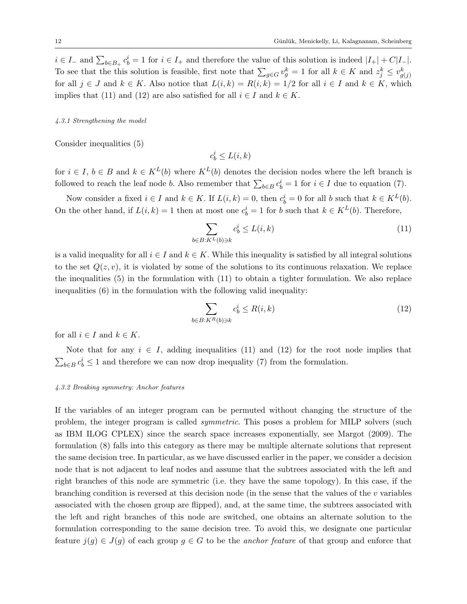$i \in I_-$  and  $\sum_{b \in B_+} c_b^i = 1$  for  $i \in I_+$  and therefore the value of this solution is indeed  $|I_+| + C|I_-|$ . To see that the this solution is feasible, first note that  $\sum_{g \in G} v_g^k = 1$  for all  $k \in K$  and  $z_j^k \leq v_{g(j)}^k$ for all  $j \in J$  and  $k \in K$ . Also notice that  $L(i,k) = R(i,k) = 1/2$  for all  $i \in I$  and  $k \in K$ , which implies that (11) and (12) are also satisfied for all  $i \in I$  and  $k \in K$ .

# 4.3.1 Strengthening the model

Consider inequalities (5)

 $c_b^i \leq L(i,k)$ 

for  $i \in I$ ,  $b \in B$  and  $k \in K^L(b)$  where  $K^L(b)$  denotes the decision nodes where the left branch is followed to reach the leaf node b. Also remember that  $\sum_{b \in B} c_b^i = 1$  for  $i \in I$  due to equation (7).

Now consider a fixed  $i \in I$  and  $k \in K$ . If  $L(i,k) = 0$ , then  $c_b^i = 0$  for all b such that  $k \in K^L(b)$ . On the other hand, if  $L(i,k) = 1$  then at most one  $c_b^i = 1$  for b such that  $k \in K^L(b)$ . Therefore,

$$
\sum_{b \in B: K^L(b) \ni k} c_b^i \le L(i, k) \tag{11}
$$

is a valid inequality for all  $i \in I$  and  $k \in K$ . While this inequality is satisfied by all integral solutions to the set  $Q(z, v)$ , it is violated by some of the solutions to its continuous relaxation. We replace the inequalities (5) in the formulation with (11) to obtain a tighter formulation. We also replace inequalities (6) in the formulation with the following valid inequality:

$$
\sum_{b \in B: K^R(b) \ni k} c_b^i \le R(i, k) \tag{12}
$$

for all  $i \in I$  and  $k \in K$ .

Note that for any  $i \in I$ , adding inequalities (11) and (12) for the root node implies that  $\sum_{b \in B} c_b^i \leq 1$  and therefore we can now drop inequality (7) from the formulation.

# 4.3.2 Breaking symmetry: Anchor features

If the variables of an integer program can be permuted without changing the structure of the problem, the integer program is called symmetric. This poses a problem for MILP solvers (such as IBM ILOG CPLEX) since the search space increases exponentially, see Margot (2009). The formulation (8) falls into this category as there may be multiple alternate solutions that represent the same decision tree. In particular, as we have discussed earlier in the paper, we consider a decision node that is not adjacent to leaf nodes and assume that the subtrees associated with the left and right branches of this node are symmetric (i.e. they have the same topology). In this case, if the branching condition is reversed at this decision node (in the sense that the values of the  $v$  variables associated with the chosen group are flipped), and, at the same time, the subtrees associated with the left and right branches of this node are switched, one obtains an alternate solution to the formulation corresponding to the same decision tree. To avoid this, we designate one particular feature  $j(g) \in J(g)$  of each group  $g \in G$  to be the *anchor feature* of that group and enforce that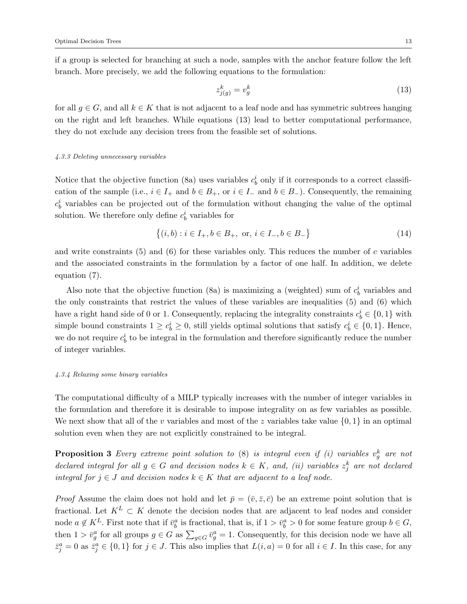if a group is selected for branching at such a node, samples with the anchor feature follow the left branch. More precisely, we add the following equations to the formulation:

$$
z_{j(g)}^k = v_g^k \tag{13}
$$

for all  $g \in G$ , and all  $k \in K$  that is not adjacent to a leaf node and has symmetric subtrees hanging on the right and left branches. While equations (13) lead to better computational performance, they do not exclude any decision trees from the feasible set of solutions.

#### 4.3.3 Deleting unnecessary variables

Notice that the objective function (8a) uses variables  $c_b^i$  only if it corresponds to a correct classification of the sample (i.e.,  $i \in I_+$  and  $b \in B_+$ , or  $i \in I_-$  and  $b \in B_-$ ). Consequently, the remaining  $c_b^i$  variables can be projected out of the formulation without changing the value of the optimal solution. We therefore only define  $c_b^i$  variables for

$$
\{(i,b) : i \in I_+, b \in B_+, \text{ or, } i \in I_-, b \in B_-\}
$$
\n
$$
(14)
$$

and write constraints  $(5)$  and  $(6)$  for these variables only. This reduces the number of c variables and the associated constraints in the formulation by a factor of one half. In addition, we delete equation (7).

Also note that the objective function (8a) is maximizing a (weighted) sum of  $c_b^i$  variables and the only constraints that restrict the values of these variables are inequalities (5) and (6) which have a right hand side of 0 or 1. Consequently, replacing the integrality constraints  $c_b^i \in \{0, 1\}$  with simple bound constraints  $1 \ge c_b^i \ge 0$ , still yields optimal solutions that satisfy  $c_b^i \in \{0,1\}$ . Hence, we do not require  $c_b^i$  to be integral in the formulation and therefore significantly reduce the number of integer variables.

### 4.3.4 Relaxing some binary variables

The computational difficulty of a MILP typically increases with the number of integer variables in the formulation and therefore it is desirable to impose integrality on as few variables as possible. We next show that all of the v variables and most of the z variables take value  $\{0, 1\}$  in an optimal solution even when they are not explicitly constrained to be integral.

**Proposition 3** Every extreme point solution to  $(8)$  is integral even if  $(i)$  variables  $v_g^k$  are not declared integral for all  $g \in G$  and decision nodes  $k \in K$ , and, (ii) variables  $z_j^k$  are not declared integral for  $j \in J$  and decision nodes  $k \in K$  that are adjacent to a leaf node.

*Proof* Assume the claim does not hold and let  $\bar{p} = (\bar{v}, \bar{z}, \bar{c})$  be an extreme point solution that is fractional. Let  $K^L \subset K$  denote the decision nodes that are adjacent to leaf nodes and consider node  $a \notin K^L$ . First note that if  $\bar{v}_b^a$  is fractional, that is, if  $1 > \bar{v}_b^a > 0$  for some feature group  $b \in G$ , then  $1 > \bar{v}_g^a$  for all groups  $g \in G$  as  $\sum_{g \in G} \bar{v}_g^a = 1$ . Consequently, for this decision node we have all  $\bar{z}_j^a = 0$  as  $\bar{z}_j^a \in \{0,1\}$  for  $j \in J$ . This also implies that  $L(i, a) = 0$  for all  $i \in I$ . In this case, for any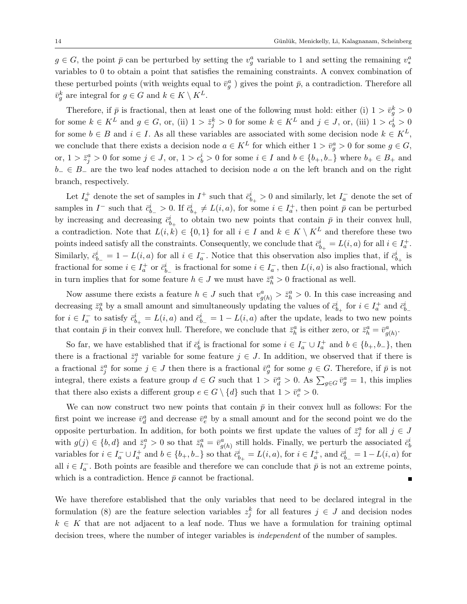$g \in G$ , the point  $\bar{p}$  can be perturbed by setting the  $v_g^a$  variable to 1 and setting the remaining  $v_*^a$ variables to 0 to obtain a point that satisfies the remaining constraints. A convex combination of these perturbed points (with weights equal to  $\bar{v}_g^a$ ) gives the point  $\bar{p}$ , a contradiction. Therefore all  $\bar{v}_g^k$  are integral for  $g \in G$  and  $k \in K \setminus K^L$ .

Therefore, if  $\bar{p}$  is fractional, then at least one of the following must hold: either (i)  $1 > \bar{v}_g^k > 0$ for some  $k \in K^L$  and  $g \in G$ , or, (ii)  $1 > \bar{z}_j^k > 0$  for some  $k \in K^L$  and  $j \in J$ , or, (iii)  $1 > c_b^i > 0$ for some  $b \in B$  and  $i \in I$ . As all these variables are associated with some decision node  $k \in K^L$ , we conclude that there exists a decision node  $a \in K^L$  for which either  $1 > \bar{v}_g^a > 0$  for some  $g \in G$ , or,  $1 > \bar{z}_j^a > 0$  for some  $j \in J$ , or,  $1 > c_b^i > 0$  for some  $i \in I$  and  $b \in \{b_+, b_-\}$  where  $b_+ \in B_+$  and  $b_-\in B_-\,$  are the two leaf nodes attached to decision node a on the left branch and on the right branch, respectively.

Let  $I_a^+$  denote the set of samples in  $I^+$  such that  $\bar{c}^i_{b_+} > 0$  and similarly, let  $I_a^-$  denote the set of samples in  $I^-$  such that  $\bar{c}_{b-}^i > 0$ . If  $\bar{c}_{b+}^i \neq L(i, a)$ , for some  $i \in I_a^+$ , then point  $\bar{p}$  can be perturbed by increasing and decreasing  $\bar{c}_{b_{+}}^{i}$  to obtain two new points that contain  $\bar{p}$  in their convex hull, a contradiction. Note that  $L(i,k) \in \{0,1\}$  for all  $i \in I$  and  $k \in K \setminus K^L$  and therefore these two points indeed satisfy all the constraints. Consequently, we conclude that  $\bar{c}_{b_+}^i = L(i, a)$  for all  $i \in I_a^+$ . Similarly,  $\bar{c}_{b-}^i = 1 - L(i, a)$  for all  $i \in I_a^-$ . Notice that this observation also implies that, if  $\bar{c}_{b+}^i$  is fractional for some  $i \in I_a^+$  or  $\bar{c}_{b_-}^i$  is fractional for some  $i \in I_a^-$ , then  $L(i, a)$  is also fractional, which in turn implies that for some feature  $h \in J$  we must have  $\bar{z}_h^a > 0$  fractional as well.

Now assume there exists a feature  $h \in J$  such that  $v_{g(h)}^a > \bar{z}_h^a > 0$ . In this case increasing and decreasing  $\bar{z}_h^a$  by a small amount and simultaneously updating the values of  $\bar{c}_{b_+}^i$  for  $i \in I_a^+$  and  $\bar{c}_{b_-}^i$ for  $i \in I_a^-$  to satisfy  $\bar{c}_{b_+}^i = L(i, a)$  and  $\bar{c}_{b_-}^i = 1 - L(i, a)$  after the update, leads to two new points that contain  $\bar{p}$  in their convex hull. Therefore, we conclude that  $\bar{z}_h^a$  is either zero, or  $\bar{z}_h^a = \bar{v}_{g(h)}^a$ .

So far, we have established that if  $\bar{c}_b^i$  is fractional for some  $i \in I_a^- \cup I_a^+$  and  $b \in \{b_+, b_-\}$ , then there is a fractional  $\bar{z}_j^a$  variable for some feature  $j \in J$ . In addition, we observed that if there is a fractional  $\bar{z}_j^a$  for some  $j \in J$  then there is a fractional  $\bar{v}_g^a$  for some  $g \in G$ . Therefore, if  $\bar{p}$  is not integral, there exists a feature group  $d \in G$  such that  $1 > \bar{v}_d^a > 0$ . As  $\sum_{g \in G} \bar{v}_g^a = 1$ , this implies that there also exists a different group  $e \in G \setminus \{d\}$  such that  $1 > \bar{v}_e^a > 0$ .

We can now construct two new points that contain  $\bar{p}$  in their convex hull as follows: For the first point we increase  $\bar{v}_d^a$  and decrease  $\bar{v}_e^a$  by a small amount and for the second point we do the opposite perturbation. In addition, for both points we first update the values of  $\bar{z}_j^a$  for all  $j \in J$ with  $g(j) \in \{b, d\}$  and  $\bar{z}_j^a > 0$  so that  $\bar{z}_h^a = \bar{v}_{g(h)}^a$  still holds. Finally, we perturb the associated  $\bar{c}_b^i$ variables for  $i \in I_a^- \cup I_a^+$  and  $b \in \{b_+, b_-\}$  so that  $\bar{c}_{b_+}^i = L(i, a)$ , for  $i \in I_a^+$ , and  $\bar{c}_{b_-}^i = 1 - L(i, a)$  for all  $i \in I_a^-$ . Both points are feasible and therefore we can conclude that  $\bar{p}$  is not an extreme points, which is a contradiction. Hence  $\bar{p}$  cannot be fractional.

We have therefore established that the only variables that need to be declared integral in the formulation (8) are the feature selection variables  $z_j^k$  for all features  $j \in J$  and decision nodes  $k \in K$  that are not adjacent to a leaf node. Thus we have a formulation for training optimal decision trees, where the number of integer variables is *independent* of the number of samples.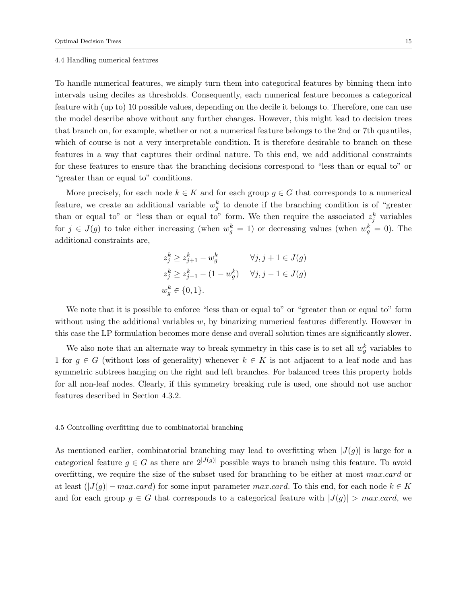#### 4.4 Handling numerical features

To handle numerical features, we simply turn them into categorical features by binning them into intervals using deciles as thresholds. Consequently, each numerical feature becomes a categorical feature with (up to) 10 possible values, depending on the decile it belongs to. Therefore, one can use the model describe above without any further changes. However, this might lead to decision trees that branch on, for example, whether or not a numerical feature belongs to the 2nd or 7th quantiles, which of course is not a very interpretable condition. It is therefore desirable to branch on these features in a way that captures their ordinal nature. To this end, we add additional constraints for these features to ensure that the branching decisions correspond to "less than or equal to" or "greater than or equal to" conditions.

More precisely, for each node  $k \in K$  and for each group  $g \in G$  that corresponds to a numerical feature, we create an additional variable  $w_g^k$  to denote if the branching condition is of "greater" than or equal to" or "less than or equal to" form. We then require the associated  $z_j^k$  variables for  $j \in J(g)$  to take either increasing (when  $w_g^k = 1$ ) or decreasing values (when  $w_g^k = 0$ ). The additional constraints are,

$$
z_j^k \ge z_{j+1}^k - w_g^k \qquad \forall j, j+1 \in J(g)
$$
  
\n
$$
z_j^k \ge z_{j-1}^k - (1 - w_g^k) \qquad \forall j, j-1 \in J(g)
$$
  
\n
$$
w_g^k \in \{0, 1\}.
$$

We note that it is possible to enforce "less than or equal to" or "greater than or equal to" form without using the additional variables  $w$ , by binarizing numerical features differently. However in this case the LP formulation becomes more dense and overall solution times are significantly slower.

We also note that an alternate way to break symmetry in this case is to set all  $w_g^k$  variables to 1 for  $g \in G$  (without loss of generality) whenever  $k \in K$  is not adjacent to a leaf node and has symmetric subtrees hanging on the right and left branches. For balanced trees this property holds for all non-leaf nodes. Clearly, if this symmetry breaking rule is used, one should not use anchor features described in Section 4.3.2.

# 4.5 Controlling overfitting due to combinatorial branching

As mentioned earlier, combinatorial branching may lead to overfitting when  $|J(g)|$  is large for a categorical feature  $q \in G$  as there are  $2^{|J(g)|}$  possible ways to branch using this feature. To avoid overfitting, we require the size of the subset used for branching to be either at most max.card or at least  $(|J(g)| - max.card)$  for some input parameter max.card. To this end, for each node  $k \in K$ and for each group  $g \in G$  that corresponds to a categorical feature with  $|J(g)| > max.card$ , we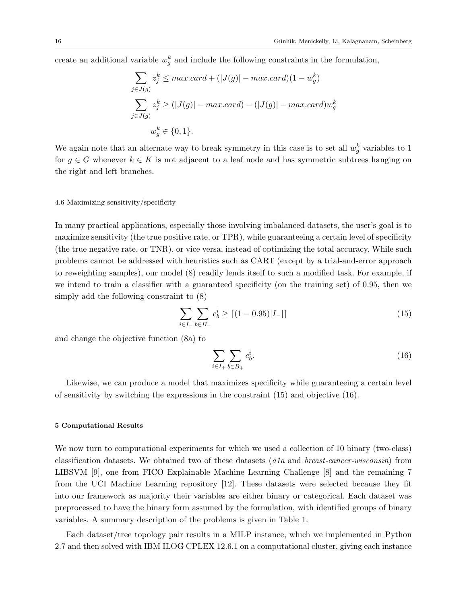create an additional variable  $w_g^k$  and include the following constraints in the formulation,

$$
\sum_{j \in J(g)} z_j^k \le max.card + (|J(g)| - max.card)(1 - w_g^k)
$$
  

$$
\sum_{j \in J(g)} z_j^k \ge (|J(g)| - max.card) - (|J(g)| - max.card)w_g^k
$$
  

$$
w_g^k \in \{0, 1\}.
$$

We again note that an alternate way to break symmetry in this case is to set all  $w_g^k$  variables to 1 for  $g \in G$  whenever  $k \in K$  is not adjacent to a leaf node and has symmetric subtrees hanging on the right and left branches.

### 4.6 Maximizing sensitivity/specificity

In many practical applications, especially those involving imbalanced datasets, the user's goal is to maximize sensitivity (the true positive rate, or TPR), while guaranteeing a certain level of specificity (the true negative rate, or TNR), or vice versa, instead of optimizing the total accuracy. While such problems cannot be addressed with heuristics such as CART (except by a trial-and-error approach to reweighting samples), our model (8) readily lends itself to such a modified task. For example, if we intend to train a classifier with a guaranteed specificity (on the training set) of 0.95, then we simply add the following constraint to (8)

$$
\sum_{i \in I_-} \sum_{b \in B_-} c_b^i \ge \lceil (1 - 0.95) |I_-| \rceil \tag{15}
$$

and change the objective function (8a) to

$$
\sum_{i \in I_+} \sum_{b \in B_+} c_b^i. \tag{16}
$$

Likewise, we can produce a model that maximizes specificity while guaranteeing a certain level of sensitivity by switching the expressions in the constraint (15) and objective (16).

### 5 Computational Results

We now turn to computational experiments for which we used a collection of 10 binary (two-class) classification datasets. We obtained two of these datasets (a1a and breast-cancer-wisconsin) from LIBSVM [9], one from FICO Explainable Machine Learning Challenge [8] and the remaining 7 from the UCI Machine Learning repository [12]. These datasets were selected because they fit into our framework as majority their variables are either binary or categorical. Each dataset was preprocessed to have the binary form assumed by the formulation, with identified groups of binary variables. A summary description of the problems is given in Table 1.

Each dataset/tree topology pair results in a MILP instance, which we implemented in Python 2.7 and then solved with IBM ILOG CPLEX 12.6.1 on a computational cluster, giving each instance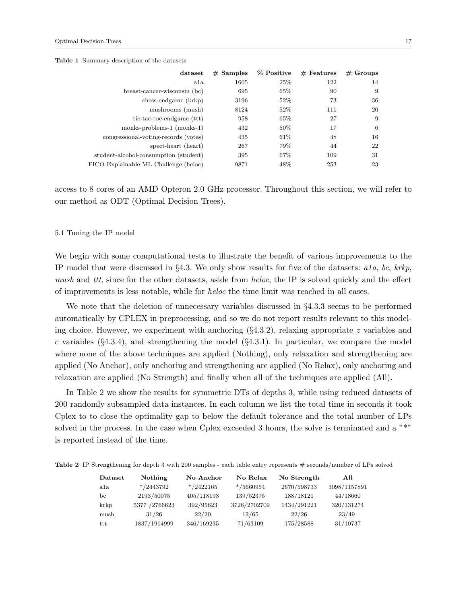|  |  | <b>Table 1</b> Summary description of the datasets |  |  |  |
|--|--|----------------------------------------------------|--|--|--|
|--|--|----------------------------------------------------|--|--|--|

| dataset                               | $#$ Samples | % Positive | $#$ Features | $#$ Groups |
|---------------------------------------|-------------|------------|--------------|------------|
| a1a                                   | 1605        | 25\%       | 122          | 14         |
| breast-cancer-wisconsin (bc)          | 695         | 65\%       | 90           | 9          |
| chess-endgame (krkp)                  | 3196        | 52\%       | 73           | 36         |
| mushrooms (mush)                      | 8124        | 52\%       | 111          | 20         |
| tic-tac-toe-endgame (ttt)             | 958         | 65%        | 27           | 9          |
| monks-problems-1 (monks-1)            | 432         | 50%        | 17           | 6          |
| congressional-voting-records (votes)  | 435         | 61\%       | 48           | 16         |
| spect-heart (heart)                   | 267         | 79%        | 44           | 22         |
| student-alcohol-consumption (student) | 395         | 67\%       | 109          | 31         |
| FICO Explainable ML Challenge (heloc) | 9871        | 48\%       | 253          | 23         |

access to 8 cores of an AMD Opteron 2.0 GHz processor. Throughout this section, we will refer to our method as ODT (Optimal Decision Trees).

### 5.1 Tuning the IP model

We begin with some computational tests to illustrate the benefit of various improvements to the IP model that were discussed in §4.3. We only show results for five of the datasets:  $a1a$ ,  $bc$ ,  $krkp$ , mush and ttt, since for the other datasets, aside from heloc, the IP is solved quickly and the effect of improvements is less notable, while for heloc the time limit was reached in all cases.

We note that the deletion of unnecessary variables discussed in §4.3.3 seems to be performed automatically by CPLEX in preprocessing, and so we do not report results relevant to this modeling choice. However, we experiment with anchoring  $(\S 4.3.2)$ , relaxing appropriate z variables and c variables  $(\S 4.3.4)$ , and strengthening the model  $(\S 4.3.1)$ . In particular, we compare the model where none of the above techniques are applied (Nothing), only relaxation and strengthening are applied (No Anchor), only anchoring and strengthening are applied (No Relax), only anchoring and relaxation are applied (No Strength) and finally when all of the techniques are applied (All).

In Table 2 we show the results for symmetric DTs of depths 3, while using reduced datasets of 200 randomly subsampled data instances. In each column we list the total time in seconds it took Cplex to to close the optimality gap to below the default tolerance and the total number of LPs solved in the process. In the case when Cplex exceeded 3 hours, the solve is terminated and a "\*" is reported instead of the time.

Table 2 IP Strengthening for depth 3 with 200 samples - each table entry represents # seconds/number of LPs solved

| Dataset | Nothing        | No Anchor     | No Relax      | No Strength | All          |
|---------|----------------|---------------|---------------|-------------|--------------|
| ala     | $* / 2443792$  | $* / 2422165$ | $* / 5660954$ | 2670/598733 | 3098/1157891 |
| bс      | 2193/50075     | 405/118193    | 139/52375     | 188/18121   | 44/18660     |
| krkp    | 5377 / 2766623 | 392/95623     | 3726/2702709  | 1434/291221 | 320/131274   |
| mush    | 31/26          | 22/20         | 12/65         | 22/26       | 23/49        |
| ttt     | 1837/1914999   | 346/169235    | 71/63109      | 175/28588   | 31/10737     |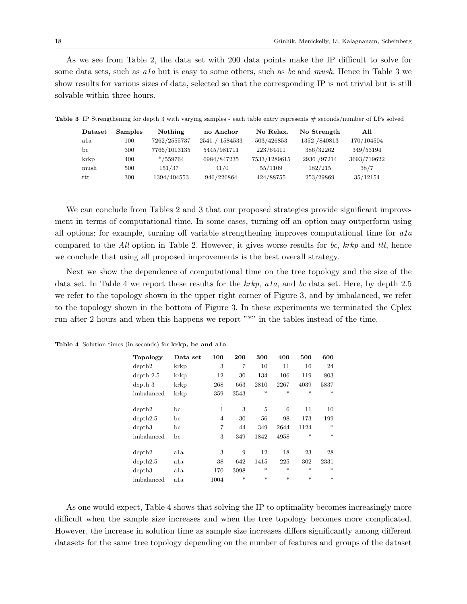As we see from Table 2, the data set with 200 data points make the IP difficult to solve for some data sets, such as  $a1a$  but is easy to some others, such as bc and mush. Hence in Table 3 we show results for various sizes of data, selected so that the corresponding IP is not trivial but is still solvable within three hours.

| Dataset | <b>Samples</b> | Nothing      | no Anchor        | No Relax.    | No Strength   | All         |
|---------|----------------|--------------|------------------|--------------|---------------|-------------|
| ala     | 100            | 7262/2555737 | 1584533<br>2541/ | 503/426853   | 1352 / 840813 | 170/104504  |
| bc      | 300            | 7766/1013135 | 5445/981711      | 223/64411    | 386/32262     | 349/53194   |
| krkp    | 400            | $*$ /559764  | 6984/847235      | 7533/1289615 | 2936 / 97214  | 3693/719622 |
| mush    | 500            | 151/37       | 41/0             | 55/1109      | 182/215       | 38/7        |
| ttt     | 300            | 1394/404553  | 946/226864       | 424/88755    | 253/29869     | 35/12154    |

Table 3 IP Strengthening for depth 3 with varying samples - each table entry represents # seconds/number of LPs solved

We can conclude from Tables 2 and 3 that our proposed strategies provide significant improvement in terms of computational time. In some cases, turning off an option may outperform using all options; for example, turning off variable strengthening improves computational time for  $a1a$ compared to the All option in Table 2. However, it gives worse results for bc,  $krkp$  and ttt, hence we conclude that using all proposed improvements is the best overall strategy.

Next we show the dependence of computational time on the tree topology and the size of the data set. In Table 4 we report these results for the krkp, ala, and bc data set. Here, by depth 2.5 we refer to the topology shown in the upper right corner of Figure 3, and by imbalanced, we refer to the topology shown in the bottom of Figure 3. In these experiments we terminated the Cplex run after 2 hours and when this happens we report "\*" in the tables instead of the time.

| <b>Topology</b> | Data set     | 100            | 200    | 300    | 400    | 500    | 600    |
|-----------------|--------------|----------------|--------|--------|--------|--------|--------|
| depth2          | krkp         | 3              | 7      | 10     | 11     | 16     | 24     |
| depth 2.5       | krkp         | 12             | 30     | 134    | 106    | 119    | 803    |
| depth 3         | krkp         | 268            | 663    | 2810   | 2267   | 4039   | 5837   |
| imbalanced      | krkp         | 359            | 3543   | $\ast$ | $\ast$ | $\ast$ | $\ast$ |
|                 |              |                |        |        |        |        |        |
| depth2          | bс           | 1              | 3      | 5      | 6      | 11     | 10     |
| depth2.5        | bс           | $\overline{4}$ | 30     | 56     | 98     | 173    | 199    |
| depth3          | bc           | 7              | 44     | 349    | 2644   | 1124   | $\ast$ |
| imbalanced      | bс           | 3              | 349    | 1842   | 4958   | $\ast$ | $\ast$ |
|                 |              |                |        |        |        |        |        |
| depth2          | a1a          | 3              | 9      | 12     | 18     | 23     | 28     |
| depth2.5        | ala          | 38             | 642    | 1415   | 225    | 302    | 2331   |
| depth3          | $_{\rm a1a}$ | 170            | 3098   | $\ast$ | $\ast$ | $\ast$ | $\ast$ |
| imbalanced      | a1a          | 1004           | $\ast$ | $\ast$ | $\ast$ | $\ast$ | $\ast$ |

Table 4 Solution times (in seconds) for krkp, bc and a1a.

As one would expect, Table 4 shows that solving the IP to optimality becomes increasingly more difficult when the sample size increases and when the tree topology becomes more complicated. However, the increase in solution time as sample size increases differs significantly among different datasets for the same tree topology depending on the number of features and groups of the dataset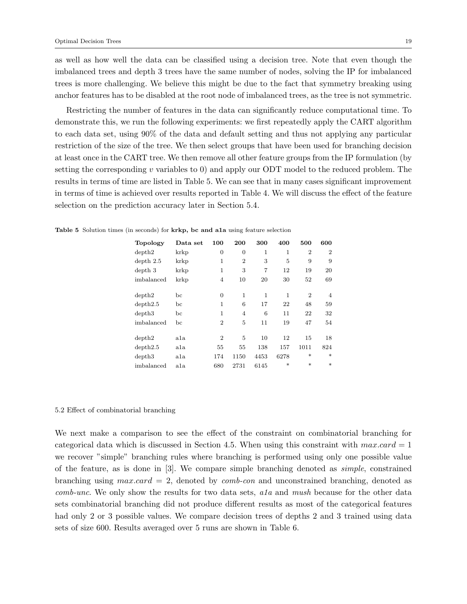as well as how well the data can be classified using a decision tree. Note that even though the imbalanced trees and depth 3 trees have the same number of nodes, solving the IP for imbalanced trees is more challenging. We believe this might be due to the fact that symmetry breaking using anchor features has to be disabled at the root node of imbalanced trees, as the tree is not symmetric.

Restricting the number of features in the data can significantly reduce computational time. To demonstrate this, we run the following experiments: we first repeatedly apply the CART algorithm to each data set, using 90% of the data and default setting and thus not applying any particular restriction of the size of the tree. We then select groups that have been used for branching decision at least once in the CART tree. We then remove all other feature groups from the IP formulation (by setting the corresponding v variables to 0) and apply our ODT model to the reduced problem. The results in terms of time are listed in Table 5. We can see that in many cases significant improvement in terms of time is achieved over results reported in Table 4. We will discuss the effect of the feature selection on the prediction accuracy later in Section 5.4.

| <b>Topology</b> | Data set     | 100            | 200            | 300            | 400    | 500            | 600            |
|-----------------|--------------|----------------|----------------|----------------|--------|----------------|----------------|
| depth2          | krkp         | 0              | 0              | 1              | 1      | $\overline{2}$ | $\overline{2}$ |
| depth 2.5       | krkp         | 1              | $\overline{2}$ | 3              | 5      | 9              | 9              |
| depth 3         | krkp         | 1              | 3              | $\overline{7}$ | 12     | 19             | 20             |
| imbalanced      | krkp         | 4              | 10             | 20             | 30     | 52             | 69             |
|                 |              |                |                |                |        |                |                |
| depth2          | bс           | $\Omega$       | 1              | 1              | 1      | $\overline{2}$ | $\overline{4}$ |
| depth2.5        | bс           | 1              | 6              | 17             | 22     | 48             | 59             |
| depth3          | bс           | 1              | $\overline{4}$ | 6              | 11     | 22             | 32             |
| imbalanced      | bс           | $\overline{2}$ | 5              | 11             | 19     | 47             | 54             |
|                 |              |                |                |                |        |                |                |
| depth2          | $_{\rm a1a}$ | $\overline{2}$ | 5              | 10             | 12     | 15             | 18             |
| depth2.5        | ala          | 55             | 55             | 138            | 157    | 1011           | 824            |
| depth3          | $_{\rm a1a}$ | 174            | 1150           | 4453           | 6278   | $\ast$         | $\ast$         |
| imbalanced      | $_{\rm a1a}$ | 680            | 2731           | 6145           | $\ast$ | $\ast$         | $\ast$         |

| Table 5 Solution times (in seconds) for krkp, bc and ala using feature selection |  |  |  |
|----------------------------------------------------------------------------------|--|--|--|
|----------------------------------------------------------------------------------|--|--|--|

# 5.2 Effect of combinatorial branching

We next make a comparison to see the effect of the constraint on combinatorial branching for categorical data which is discussed in Section 4.5. When using this constraint with  $max.card = 1$ we recover "simple" branching rules where branching is performed using only one possible value of the feature, as is done in [3]. We compare simple branching denoted as simple, constrained branching using  $max.card = 2$ , denoted by  $comb-con$  and unconstrained branching, denoted as comb-unc. We only show the results for two data sets, a1a and mush because for the other data sets combinatorial branching did not produce different results as most of the categorical features had only 2 or 3 possible values. We compare decision trees of depths 2 and 3 trained using data sets of size 600. Results averaged over 5 runs are shown in Table 6.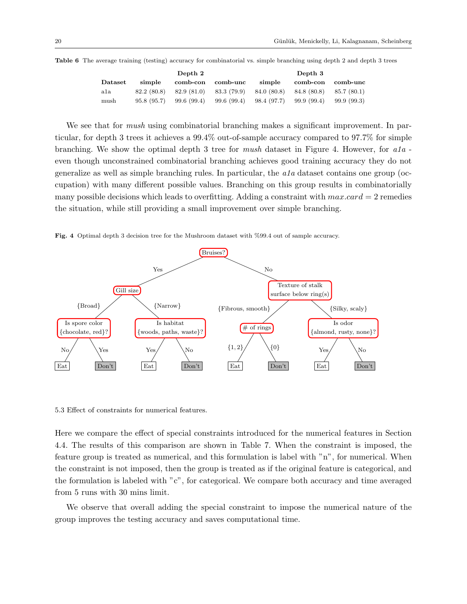|         |             | Depth 2     |             |             | Depth 3     |            |
|---------|-------------|-------------|-------------|-------------|-------------|------------|
| Dataset | simple      | comb-con    | comb-unc    | simple      | comb-con    | comb-unc   |
| ala     | 82.2 (80.8) | 82.9 (81.0) | 83.3 (79.9) | 84.0 (80.8) | 84.8 (80.8) | 85.7(80.1) |
| mush    | 95.8(95.7)  | 99.6 (99.4) | 99.6 (99.4) | 98.4 (97.7) | 99.9 (99.4) | 99.9(99.3) |

Table 6 The average training (testing) accuracy for combinatorial vs. simple branching using depth 2 and depth 3 trees

We see that for *mush* using combinatorial branching makes a significant improvement. In particular, for depth 3 trees it achieves a 99.4% out-of-sample accuracy compared to 97.7% for simple branching. We show the optimal depth 3 tree for mush dataset in Figure 4. However, for  $a1a$ even though unconstrained combinatorial branching achieves good training accuracy they do not generalize as well as simple branching rules. In particular, the  $a1a$  dataset contains one group (occupation) with many different possible values. Branching on this group results in combinatorially many possible decisions which leads to overfitting. Adding a constraint with  $max.card = 2$  remedies the situation, while still providing a small improvement over simple branching.

Fig. 4 Optimal depth 3 decision tree for the Mushroom dataset with %99.4 out of sample accuracy.



5.3 Effect of constraints for numerical features.

Here we compare the effect of special constraints introduced for the numerical features in Section 4.4. The results of this comparison are shown in Table 7. When the constraint is imposed, the feature group is treated as numerical, and this formulation is label with "n", for numerical. When the constraint is not imposed, then the group is treated as if the original feature is categorical, and the formulation is labeled with "c", for categorical. We compare both accuracy and time averaged from 5 runs with 30 mins limit.

We observe that overall adding the special constraint to impose the numerical nature of the group improves the testing accuracy and saves computational time.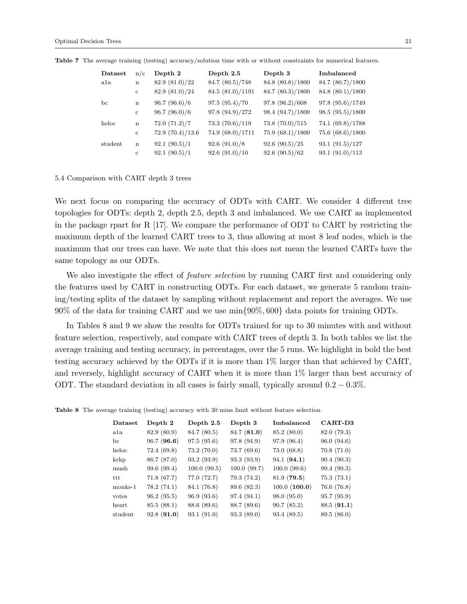| Dataset | n/c          | Depth 2         | Depth 2.5        | Depth 3          | Imbalanced       |
|---------|--------------|-----------------|------------------|------------------|------------------|
| ala     | $\mathbf n$  | 82.9(81.0)/22   | 84.7 (80.5)/748  | 84.8 (80.8)/1800 | 84.7 (80.7)/1800 |
|         | $\mathbf{c}$ | 82.9(81.0)/24   | 84.5 (81.0)/1191 | 84.7 (80.3)/1800 | 84.8 (80.1)/1800 |
| bc      | $\mathbf n$  | 96.7(96.6)/6    | 97.5(95.4)/70    | 97.8 (96.2)/608  | 97.8 (95.6)/1749 |
|         | $\mathbf{c}$ | 96.7(96.0)/6    | 97.8 (94.9)/272  | 98.4 (94.7)/1800 | 98.5(95.5)/1800  |
| heloc   | $\mathbf n$  | 72.0(71.2)/7    | 73.3(70.6)/119   | 73.8(70.0)/515   | 74.1 (69.8)/1788 |
|         | $\mathbf{c}$ | 72.9(70.4)/13.6 | 74.9 (68.0)/1711 | 75.9 (68.1)/1800 | 75.6 (68.6)/1800 |
| student | $\mathbf n$  | 92.1(90.5)/1    | 92.6(91.0)/8     | 92.6(90.5)/25    | 93.1(91.5)/127   |
|         | $\mathbf{c}$ | 92.1(90.5)/1    | 92.6(91.0)/10    | 92.6(90.5)/62    | 93.1(91.0)/113   |

Table 7 The average training (testing) accuracy/solution time with or without constraints for numerical features.

# 5.4 Comparison with CART depth 3 trees

We next focus on comparing the accuracy of ODTs with CART. We consider 4 different tree topologies for ODTs: depth 2, depth 2.5, depth 3 and imbalanced. We use CART as implemented in the package rpart for R [17]. We compare the performance of ODT to CART by restricting the maximum depth of the learned CART trees to 3, thus allowing at most 8 leaf nodes, which is the maximum that our trees can have. We note that this does not mean the learned CARTs have the same topology as our ODTs.

We also investigate the effect of *feature selection* by running CART first and considering only the features used by CART in constructing ODTs. For each dataset, we generate 5 random training/testing splits of the dataset by sampling without replacement and report the averages. We use 90% of the data for training CART and we use min{90%, 600} data points for training ODTs.

In Tables 8 and 9 we show the results for ODTs trained for up to 30 minutes with and without feature selection, respectively, and compare with CART trees of depth 3. In both tables we list the average training and testing accuracy, in percentages, over the 5 runs. We highlight in bold the best testing accuracy achieved by the ODTs if it is more than 1% larger than that achieved by CART, and reversely, highlight accuracy of CART when it is more than 1% larger than best accuracy of ODT. The standard deviation in all cases is fairly small, typically around  $0.2 - 0.3\%$ .

| Dataset | Depth 2     | Depth 2.5   | Depth 3     | Imbalanced   | CART-D3     |
|---------|-------------|-------------|-------------|--------------|-------------|
| ala     | 82.9 (80.9) | 84.7 (80.5) | 84.7 (81.0) | 85.2 (80.0)  | 82.0 (79.3) |
| bс      | 96.7(96.6)  | 97.5(95.6)  | 97.8 (94.9) | 97.9 (96.4)  | 96.0(94.6)  |
| heloc   | 72.4 (69.8) | 73.2(70.0)  | 73.7(69.6)  | 73.0(68.8)   | 70.8(71.0)  |
| krkp    | 86.7 (87.0) | 93.2 (93.9) | 93.3 (93.9) | 94.1(94.1)   | 90.4(90.3)  |
| mush    | 99.6 (99.4) | 100.0(99.5) | 100.0(99.7) | 100.0(99.6)  | 99.4 (99.3) |
| ttt     | 71.8(67.7)  | 77.0 (72.7) | 79.3 (74.2) | 81.9(79.5)   | 75.3(73.1)  |
| monks-1 | 78.2(74.1)  | 84.1 (76.8) | 89.6 (82.3) | 100.0(100.0) | 76.6 (76.8) |
| votes   | 96.2(95.5)  | 96.9(93.6)  | 97.4 (94.1) | 98.0 (95.0)  | 95.7(95.9)  |
| heart   | 85.5(88.1)  | 88.6 (89.6) | 88.7 (89.6) | 90.7(85.2)   | 88.5(91.1)  |
| student | 92.8(91.0)  | 93.1(91.0)  | 93.3(89.0)  | 93.4 (89.5)  | 89.5 (86.0) |

Table 8 The average training (testing) accuracy with 30 mins limit without feature selection.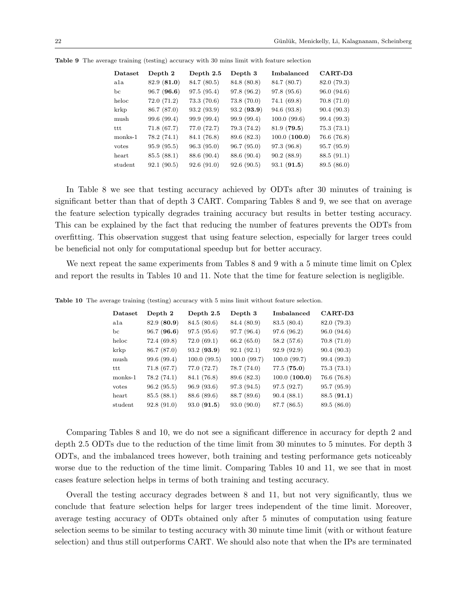| Dataset | Depth 2     | Depth 2.5   | Depth 3     | Imbalanced   | CART-D3     |
|---------|-------------|-------------|-------------|--------------|-------------|
| a1a     | 82.9 (81.0) | 84.7 (80.5) | 84.8 (80.8) | 84.7 (80.7)  | 82.0 (79.3) |
| bc.     | 96.7(96.6)  | 97.5(95.4)  | 97.8 (96.2) | 97.8 (95.6)  | 96.0 (94.6) |
| heloc   | 72.0 (71.2) | 73.3(70.6)  | 73.8(70.0)  | 74.1(69.8)   | 70.8(71.0)  |
| krkp    | 86.7 (87.0) | 93.2 (93.9) | 93.2(93.9)  | 94.6 (93.8)  | 90.4(90.3)  |
| mush    | 99.6 (99.4) | 99.9 (99.4) | 99.9 (99.4) | 100.0(99.6)  | 99.4 (99.3) |
| ttt     | 71.8(67.7)  | 77.0 (72.7) | 79.3 (74.2) | 81.9(79.5)   | 75.3(73.1)  |
| monks-1 | 78.2(74.1)  | 84.1 (76.8) | 89.6 (82.3) | 100.0(100.0) | 76.6 (76.8) |
| votes   | 95.9 (95.5) | 96.3(95.0)  | 96.7(95.0)  | 97.3(96.8)   | 95.7(95.9)  |
| heart   | 85.5 (88.1) | 88.6 (90.4) | 88.6 (90.4) | 90.2(88.9)   | 88.5 (91.1) |
| student | 92.1(90.5)  | 92.6(91.0)  | 92.6(90.5)  | 93.1(91.5)   | 89.5 (86.0) |

Table 9 The average training (testing) accuracy with 30 mins limit with feature selection

In Table 8 we see that testing accuracy achieved by ODTs after 30 minutes of training is significant better than that of depth 3 CART. Comparing Tables 8 and 9, we see that on average the feature selection typically degrades training accuracy but results in better testing accuracy. This can be explained by the fact that reducing the number of features prevents the ODTs from overfitting. This observation suggest that using feature selection, especially for larger trees could be beneficial not only for computational speedup but for better accuracy.

We next repeat the same experiments from Tables 8 and 9 with a 5 minute time limit on Cplex and report the results in Tables 10 and 11. Note that the time for feature selection is negligible.

| Dataset | Depth 2     | Depth $2.5$ | Depth 3     | Imbalanced   | CART-D3     |
|---------|-------------|-------------|-------------|--------------|-------------|
| ala     | 82.9 (80.9) | 84.5 (80.6) | 84.4 (80.9) | 83.5 (80.4)  | 82.0 (79.3) |
| bc      | 96.7(96.6)  | 97.5(95.6)  | 97.7 (96.4) | 97.6 (96.2)  | 96.0 (94.6) |
| heloc   | 72.4(69.8)  | 72.0(69.1)  | 66.2(65.0)  | 58.2(57.6)   | 70.8(71.0)  |
| krkp    | 86.7 (87.0) | 93.2 (93.9) | 92.1(92.1)  | 92.9 (92.9)  | 90.4(90.3)  |
| mush    | 99.6 (99.4) | 100.0(99.5) | 100.0(99.7) | 100.0(99.7)  | 99.4 (99.3) |
| ttt     | 71.8(67.7)  | 77.0 (72.7) | 78.7 (74.0) | 77.5(75.0)   | 75.3(73.1)  |
| monks-1 | 78.2(74.1)  | 84.1 (76.8) | 89.6 (82.3) | 100.0(100.0) | 76.6 (76.8) |
| votes   | 96.2(95.5)  | 96.9(93.6)  | 97.3 (94.5) | 97.5(92.7)   | 95.7(95.9)  |
| heart   | 85.5(88.1)  | 88.6 (89.6) | 88.7 (89.6) | 90.4(88.1)   | 88.5(91.1)  |
| student | 92.8(91.0)  | 93.0(91.5)  | 93.0(90.0)  | 87.7 (86.5)  | 89.5 (86.0) |

Table 10 The average training (testing) accuracy with 5 mins limit without feature selection.

Comparing Tables 8 and 10, we do not see a significant difference in accuracy for depth 2 and depth 2.5 ODTs due to the reduction of the time limit from 30 minutes to 5 minutes. For depth 3 ODTs, and the imbalanced trees however, both training and testing performance gets noticeably worse due to the reduction of the time limit. Comparing Tables 10 and 11, we see that in most cases feature selection helps in terms of both training and testing accuracy.

Overall the testing accuracy degrades between 8 and 11, but not very significantly, thus we conclude that feature selection helps for larger trees independent of the time limit. Moreover, average testing accuracy of ODTs obtained only after 5 minutes of computation using feature selection seems to be similar to testing accuracy with 30 minute time limit (with or without feature selection) and thus still outperforms CART. We should also note that when the IPs are terminated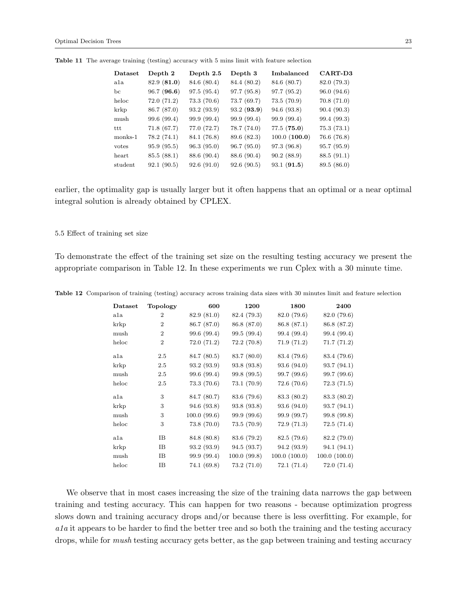| Dataset | Depth 2     | Depth 2.5   | Depth 3     | Imbalanced   | CART-D3     |
|---------|-------------|-------------|-------------|--------------|-------------|
| ala     | 82.9 (81.0) | 84.6 (80.4) | 84.4 (80.2) | 84.6 (80.7)  | 82.0 (79.3) |
| bc      | 96.7(96.6)  | 97.5(95.4)  | 97.7 (95.8) | 97.7 (95.2)  | 96.0(94.6)  |
| heloc   | 72.0(71.2)  | 73.3(70.6)  | 73.7 (69.7) | 73.5(70.9)   | 70.8(71.0)  |
| krkp    | 86.7 (87.0) | 93.2 (93.9) | 93.2(93.9)  | 94.6 (93.8)  | 90.4(90.3)  |
| mush    | 99.6 (99.4) | 99.9 (99.4) | 99.9 (99.4) | 99.9 (99.4)  | 99.4 (99.3) |
| ttt     | 71.8(67.7)  | 77.0 (72.7) | 78.7 (74.0) | 77.5(75.0)   | 75.3(73.1)  |
| monks-1 | 78.2(74.1)  | 84.1 (76.8) | 89.6 (82.3) | 100.0(100.0) | 76.6(76.8)  |
| votes   | 95.9 (95.5) | 96.3(95.0)  | 96.7(95.0)  | 97.3 (96.8)  | 95.7 (95.9) |
| heart   | 85.5 (88.1) | 88.6 (90.4) | 88.6 (90.4) | 90.2(88.9)   | 88.5(91.1)  |
| student | 92.1(90.5)  | 92.6(91.0)  | 92.6(90.5)  | 93.1(91.5)   | 89.5 (86.0) |

Table 11 The average training (testing) accuracy with 5 mins limit with feature selection

earlier, the optimality gap is usually larger but it often happens that an optimal or a near optimal integral solution is already obtained by CPLEX.

#### 5.5 Effect of training set size

To demonstrate the effect of the training set size on the resulting testing accuracy we present the appropriate comparison in Table 12. In these experiments we run Cplex with a 30 minute time.

| Dataset | <b>Topology</b> | 600         | 1200        | 1800         | 2400         |
|---------|-----------------|-------------|-------------|--------------|--------------|
| a1a     | $\overline{2}$  | 82.9 (81.0) | 82.4 (79.3) | 82.0 (79.6)  | 82.0 (79.6)  |
| krkp    | $\overline{2}$  | 86.7 (87.0) | 86.8 (87.0) | 86.8 (87.1)  | 86.8 (87.2)  |
| mush    | $\overline{2}$  | 99.6 (99.4) | 99.5 (99.4) | 99.4 (99.4)  | 99.4 (99.4)  |
| heloc   | $\overline{2}$  | 72.0(71.2)  | 72.2(70.8)  | 71.9(71.2)   | 71.7(71.2)   |
| a1a     | 2.5             | 84.7 (80.5) | 83.7 (80.0) | 83.4 (79.6)  | 83.4 (79.6)  |
| krkp    | 2.5             | 93.2(93.9)  | 93.8 (93.8) | 93.6(94.0)   | 93.7(94.1)   |
| mush    | 2.5             | 99.6 (99.4) | 99.8 (99.5) | 99.7 (99.6)  | 99.7 (99.6)  |
| heloc   | 2.5             | 73.3(70.6)  | 73.1 (70.9) | 72.6(70.6)   | 72.3(71.5)   |
| ala     | 3               | 84.7 (80.7) | 83.6 (79.6) | 83.3 (80.2)  | 83.3 (80.2)  |
| krkp    | 3               | 94.6(93.8)  | 93.8(93.8)  | 93.6(94.0)   | 93.7(94.1)   |
| mush    | 3               | 100.0(99.6) | 99.9 (99.6) | 99.9 (99.7)  | 99.8 (99.8)  |
| heloc   | 3               | 73.8(70.0)  | 73.5(70.9)  | 72.9(71.3)   | 72.5(71.4)   |
| a1a     | IB              | 84.8 (80.8) | 83.6 (79.2) | 82.5(79.6)   | 82.2 (79.0)  |
| krkp    | IΒ              | 93.2(93.9)  | 94.5 (93.7) | 94.2 (93.9)  | 94.1(94.1)   |
| mush    | IB              | 99.9 (99.4) | 100.0(99.8) | 100.0(100.0) | 100.0(100.0) |
| heloc   | IB              | 74.1(69.8)  | 73.2(71.0)  | 72.1(71.4)   | 72.0(71.4)   |

Table 12 Comparison of training (testing) accuracy across training data sizes with 30 minutes limit and feature selection

We observe that in most cases increasing the size of the training data narrows the gap between training and testing accuracy. This can happen for two reasons - because optimization progress slows down and training accuracy drops and/or because there is less overfitting. For example, for ala it appears to be harder to find the better tree and so both the training and the testing accuracy drops, while for *mush* testing accuracy gets better, as the gap between training and testing accuracy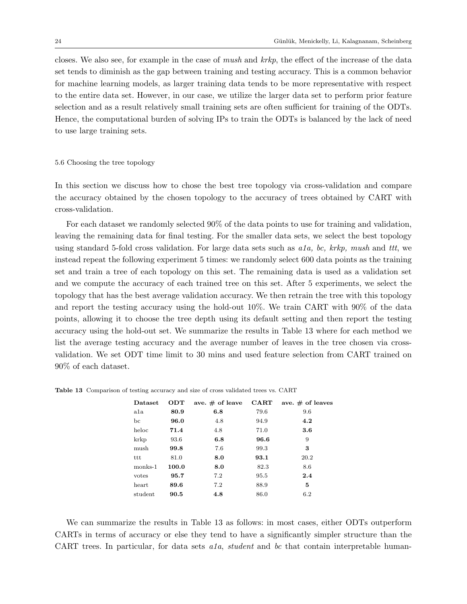closes. We also see, for example in the case of mush and krkp, the effect of the increase of the data set tends to diminish as the gap between training and testing accuracy. This is a common behavior for machine learning models, as larger training data tends to be more representative with respect to the entire data set. However, in our case, we utilize the larger data set to perform prior feature selection and as a result relatively small training sets are often sufficient for training of the ODTs. Hence, the computational burden of solving IPs to train the ODTs is balanced by the lack of need to use large training sets.

### 5.6 Choosing the tree topology

In this section we discuss how to chose the best tree topology via cross-validation and compare the accuracy obtained by the chosen topology to the accuracy of trees obtained by CART with cross-validation.

For each dataset we randomly selected 90% of the data points to use for training and validation, leaving the remaining data for final testing. For the smaller data sets, we select the best topology using standard 5-fold cross validation. For large data sets such as  $a1a$ , bc, krkp, mush and ttt, we instead repeat the following experiment 5 times: we randomly select 600 data points as the training set and train a tree of each topology on this set. The remaining data is used as a validation set and we compute the accuracy of each trained tree on this set. After 5 experiments, we select the topology that has the best average validation accuracy. We then retrain the tree with this topology and report the testing accuracy using the hold-out 10%. We train CART with 90% of the data points, allowing it to choose the tree depth using its default setting and then report the testing accuracy using the hold-out set. We summarize the results in Table 13 where for each method we list the average testing accuracy and the average number of leaves in the tree chosen via crossvalidation. We set ODT time limit to 30 mins and used feature selection from CART trained on 90% of each dataset.

| Dataset | <b>ODT</b> | ave. $\#$ of leave | $_{\rm \bf CART}$ | ave. $\#$ of leaves |
|---------|------------|--------------------|-------------------|---------------------|
| a1a     | 80.9       | 6.8                | 79.6              | 9.6                 |
| bc      | 96.0       | 4.8                | 94.9              | 4.2                 |
| heloc   | 71.4       | 4.8                | 71.0              | $3.6\,$             |
| krkp    | 93.6       | 6.8                | 96.6              | 9                   |
| mush    | 99.8       | 7.6                | 99.3              | 3                   |
| ttt     | 81.0       | 8.0                | 93.1              | 20.2                |
| monks-1 | 100.0      | 8.0                | 82.3              | 8.6                 |
| votes   | 95.7       | 7.2                | 95.5              | 2.4                 |
| heart   | 89.6       | 7.2                | 88.9              | 5                   |
| student | 90.5       | 4.8                | 86.0              | 6.2                 |

Table 13 Comparison of testing accuracy and size of cross validated trees vs. CART

We can summarize the results in Table 13 as follows: in most cases, either ODTs outperform CARTs in terms of accuracy or else they tend to have a significantly simpler structure than the CART trees. In particular, for data sets a<sub>1a</sub>, student and bc that contain interpretable human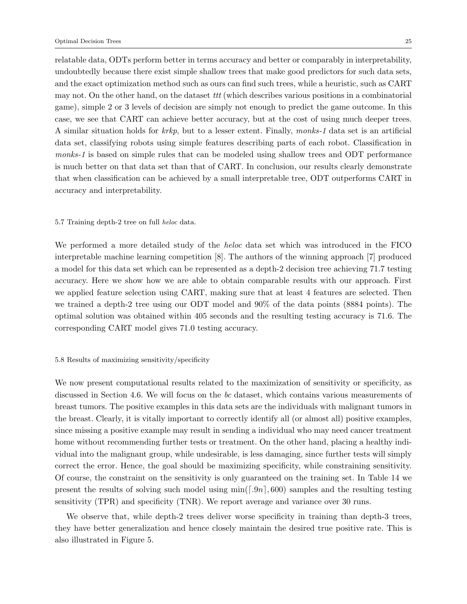relatable data, ODTs perform better in terms accuracy and better or comparably in interpretability, undoubtedly because there exist simple shallow trees that make good predictors for such data sets, and the exact optimization method such as ours can find such trees, while a heuristic, such as CART may not. On the other hand, on the dataset  $ttt$  (which describes various positions in a combinatorial game), simple 2 or 3 levels of decision are simply not enough to predict the game outcome. In this case, we see that CART can achieve better accuracy, but at the cost of using much deeper trees. A similar situation holds for krkp, but to a lesser extent. Finally, monks-1 data set is an artificial data set, classifying robots using simple features describing parts of each robot. Classification in monks-1 is based on simple rules that can be modeled using shallow trees and ODT performance is much better on that data set than that of CART. In conclusion, our results clearly demonstrate that when classification can be achieved by a small interpretable tree, ODT outperforms CART in accuracy and interpretability.

# 5.7 Training depth-2 tree on full heloc data.

We performed a more detailed study of the heloc data set which was introduced in the FICO interpretable machine learning competition [8]. The authors of the winning approach [7] produced a model for this data set which can be represented as a depth-2 decision tree achieving 71.7 testing accuracy. Here we show how we are able to obtain comparable results with our approach. First we applied feature selection using CART, making sure that at least 4 features are selected. Then we trained a depth-2 tree using our ODT model and 90% of the data points (8884 points). The optimal solution was obtained within 405 seconds and the resulting testing accuracy is 71.6. The corresponding CART model gives 71.0 testing accuracy.

# 5.8 Results of maximizing sensitivity/specificity

We now present computational results related to the maximization of sensitivity or specificity, as discussed in Section 4.6. We will focus on the bc dataset, which contains various measurements of breast tumors. The positive examples in this data sets are the individuals with malignant tumors in the breast. Clearly, it is vitally important to correctly identify all (or almost all) positive examples, since missing a positive example may result in sending a individual who may need cancer treatment home without recommending further tests or treatment. On the other hand, placing a healthy individual into the malignant group, while undesirable, is less damaging, since further tests will simply correct the error. Hence, the goal should be maximizing specificity, while constraining sensitivity. Of course, the constraint on the sensitivity is only guaranteed on the training set. In Table 14 we present the results of solving such model using  $\min([.9n], 600)$  samples and the resulting testing sensitivity (TPR) and specificity (TNR). We report average and variance over 30 runs.

We observe that, while depth-2 trees deliver worse specificity in training than depth-3 trees, they have better generalization and hence closely maintain the desired true positive rate. This is also illustrated in Figure 5.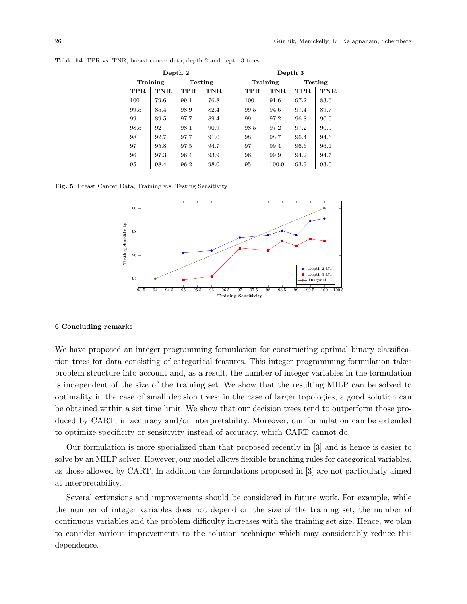| Depth 2  |      |         |      | Depth 3 |          |      |                |  |
|----------|------|---------|------|---------|----------|------|----------------|--|
| Training |      | Testing |      |         | Training |      | <b>Testing</b> |  |
| TPR.     | TNR. | TPR.    | TNR. | TPR.    | TNR.     | TPR. | TNR.           |  |
| 100      | 79.6 | 99.1    | 76.8 | 100     | 91.6     | 97.2 | 83.6           |  |
| 99.5     | 85.4 | 98.9    | 82.4 | 99.5    | 94.6     | 97.4 | 89.7           |  |
| 99       | 89.5 | 97.7    | 89.4 | 99      | 97.2     | 96.8 | 90.0           |  |
| 98.5     | 92   | 98.1    | 90.9 | 98.5    | 97.2     | 97.2 | 90.9           |  |
| 98       | 92.7 | 97.7    | 91.0 | 98      | 98.7     | 96.4 | 94.6           |  |
| 97       | 95.8 | 97.5    | 94.7 | 97      | 99.4     | 96.6 | 96.1           |  |
| 96       | 97.3 | 96.4    | 93.9 | 96      | 99.9     | 94.2 | 94.7           |  |
| 95       | 98.4 | 96.2    | 98.0 | 95      | 100.0    | 93.9 | 93.0           |  |

Table 14 TPR vs. TNR, breast cancer data, depth 2 and depth 3 trees

Fig. 5 Breast Cancer Data, Training v.s. Testing Sensitivity



# 6 Concluding remarks

We have proposed an integer programming formulation for constructing optimal binary classification trees for data consisting of categorical features. This integer programming formulation takes problem structure into account and, as a result, the number of integer variables in the formulation is independent of the size of the training set. We show that the resulting MILP can be solved to optimality in the case of small decision trees; in the case of larger topologies, a good solution can be obtained within a set time limit. We show that our decision trees tend to outperform those produced by CART, in accuracy and/or interpretability. Moreover, our formulation can be extended to optimize specificity or sensitivity instead of accuracy, which CART cannot do.

Our formulation is more specialized than that proposed recently in [3] and is hence is easier to solve by an MILP solver. However, our model allows flexible branching rules for categorical variables, as those allowed by CART. In addition the formulations proposed in [3] are not particularly aimed at interpretability.

Several extensions and improvements should be considered in future work. For example, while the number of integer variables does not depend on the size of the training set, the number of continuous variables and the problem difficulty increases with the training set size. Hence, we plan to consider various improvements to the solution technique which may considerably reduce this dependence.